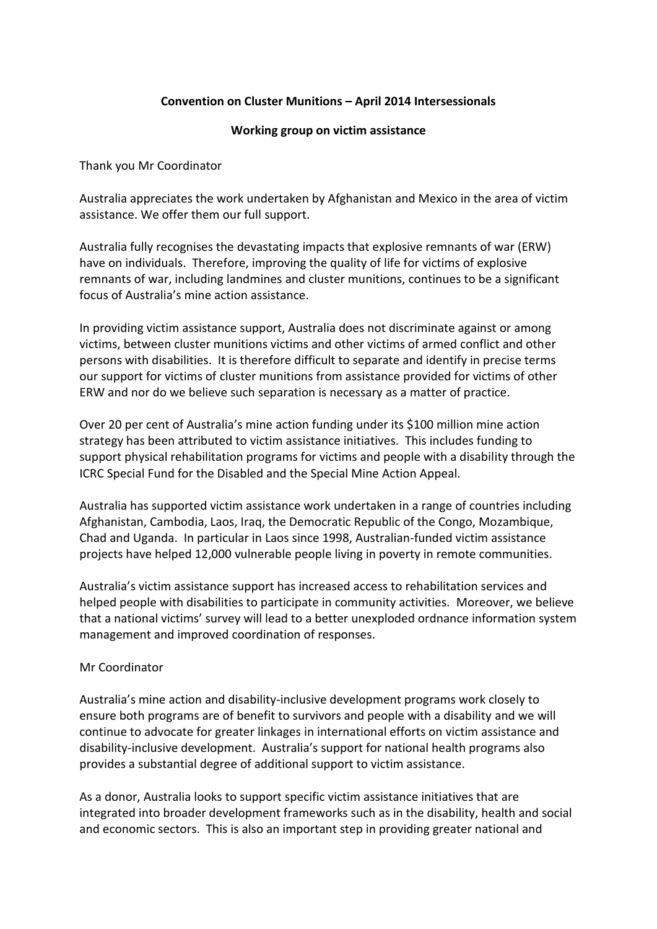## **Convention on Cluster Munitions – April 2014 Intersessionals**

## **Working group on victim assistance**

Thank you Mr Coordinator

Australia appreciates the work undertaken by Afghanistan and Mexico in the area of victim assistance. We offer them our full support.

Australia fully recognises the devastating impacts that explosive remnants of war (ERW) have on individuals. Therefore, improving the quality of life for victims of explosive remnants of war, including landmines and cluster munitions, continues to be a significant focus of Australia's mine action assistance.

In providing victim assistance support, Australia does not discriminate against or among victims, between cluster munitions victims and other victims of armed conflict and other persons with disabilities. It is therefore difficult to separate and identify in precise terms our support for victims of cluster munitions from assistance provided for victims of other ERW and nor do we believe such separation is necessary as a matter of practice.

Over 20 per cent of Australia's mine action funding under its \$100 million mine action strategy has been attributed to victim assistance initiatives. This includes funding to support physical rehabilitation programs for victims and people with a disability through the ICRC Special Fund for the Disabled and the Special Mine Action Appeal.

Australia has supported victim assistance work undertaken in a range of countries including Afghanistan, Cambodia, Laos, Iraq, the Democratic Republic of the Congo, Mozambique, Chad and Uganda. In particular in Laos since 1998, Australian-funded victim assistance projects have helped 12,000 vulnerable people living in poverty in remote communities.

Australia's victim assistance support has increased access to rehabilitation services and helped people with disabilities to participate in community activities. Moreover, we believe that a national victims' survey will lead to a better unexploded ordnance information system management and improved coordination of responses.

## Mr Coordinator

Australia's mine action and disability-inclusive development programs work closely to ensure both programs are of benefit to survivors and people with a disability and we will continue to advocate for greater linkages in international efforts on victim assistance and disability-inclusive development. Australia's support for national health programs also provides a substantial degree of additional support to victim assistance.

As a donor, Australia looks to support specific victim assistance initiatives that are integrated into broader development frameworks such as in the disability, health and social and economic sectors. This is also an important step in providing greater national and